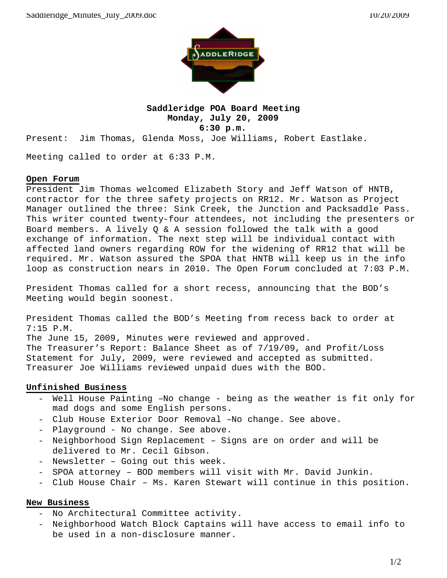

## **Saddleridge POA Board Meeting Monday, July 20, 2009 6:30 p.m.**

Present: Jim Thomas, Glenda Moss, Joe Williams, Robert Eastlake.

Meeting called to order at 6:33 P.M.

## **Open Forum**

President Jim Thomas welcomed Elizabeth Story and Jeff Watson of HNTB, contractor for the three safety projects on RR12. Mr. Watson as Project Manager outlined the three: Sink Creek, the Junction and Packsaddle Pass. This writer counted twenty-four attendees, not including the presenters or Board members. A lively Q & A session followed the talk with a good exchange of information. The next step will be individual contact with affected land owners regarding ROW for the widening of RR12 that will be required. Mr. Watson assured the SPOA that HNTB will keep us in the info loop as construction nears in 2010. The Open Forum concluded at 7:03 P.M.

President Thomas called for a short recess, announcing that the BOD's Meeting would begin soonest.

President Thomas called the BOD's Meeting from recess back to order at 7:15 P.M. The June 15, 2009, Minutes were reviewed and approved. The Treasurer's Report: Balance Sheet as of 7/19/09, and Profit/Loss Statement for July, 2009, were reviewed and accepted as submitted. Treasurer Joe Williams reviewed unpaid dues with the BOD.

## **Unfinished Business**

- Well House Painting –No change being as the weather is fit only for mad dogs and some English persons.
- Club House Exterior Door Removal –No change. See above.
- Playground No change. See above.
- Neighborhood Sign Replacement Signs are on order and will be delivered to Mr. Cecil Gibson.
- Newsletter Going out this week.
- SPOA attorney BOD members will visit with Mr. David Junkin.
- Club House Chair Ms. Karen Stewart will continue in this position.

## **New Business**

- No Architectural Committee activity.
- Neighborhood Watch Block Captains will have access to email info to be used in a non-disclosure manner.